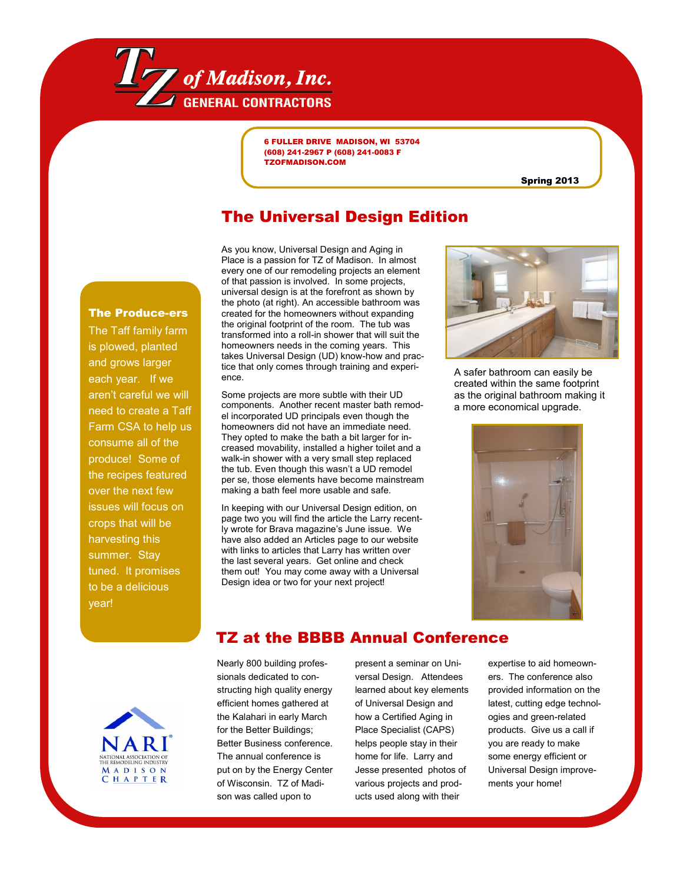

6 FULLER DRIVE MADISON, WI 53704 (608) 241-2967 P (608) 241-0083 F TZOFMADISON.COM

Spring 2013

## The Universal Design Edition

Place is a passion for TZ of Madison. In almost every one of our remodeling projects an element of that passion is involved. In some projects, universal design is at the forefront as shown by the photo (at right). An accessible bathroom was created for the homeowners without expanding the original footprint of the room. The tub was transformed into a roll-in shower that will suit the homeowners needs in the coming years. This takes Universal Design (UD) know-how and practice that only comes through training and experience.

As you know, Universal Design and Aging in

Some projects are more subtle with their UD components. Another recent master bath remodel incorporated UD principals even though the homeowners did not have an immediate need. They opted to make the bath a bit larger for increased movability, installed a higher toilet and a walk-in shower with a very small step replaced the tub. Even though this wasn't a UD remodel per se, those elements have become mainstream making a bath feel more usable and safe.

In keeping with our Universal Design edition, on page two you will find the article the Larry recently wrote for Brava magazine's June issue. We have also added an Articles page to our website with links to articles that Larry has written over the last several years. Get online and check them out! You may come away with a Universal Design idea or two for your next project!



A safer bathroom can easily be created within the same footprint as the original bathroom making it a more economical upgrade.





year!

The Produce-ers The Taff family farm is plowed, planted and grows larger each year. If we aren't careful we will need to create a Taff Farm CSA to help us consume all of the produce! Some of the recipes featured over the next few issues will focus on crops that will be harvesting this summer. Stay tuned. It promises to be a delicious

## TZ at the BBBB Annual Conference

Nearly 800 building professionals dedicated to constructing high quality energy efficient homes gathered at the Kalahari in early March for the Better Buildings; Better Business conference. The annual conference is put on by the Energy Center of Wisconsin. TZ of Madison was called upon to

present a seminar on Universal Design. Attendees learned about key elements of Universal Design and how a Certified Aging in Place Specialist (CAPS) helps people stay in their home for life. Larry and Jesse presented photos of various projects and products used along with their

expertise to aid homeowners. The conference also provided information on the latest, cutting edge technologies and green-related products. Give us a call if you are ready to make some energy efficient or Universal Design improvements your home!